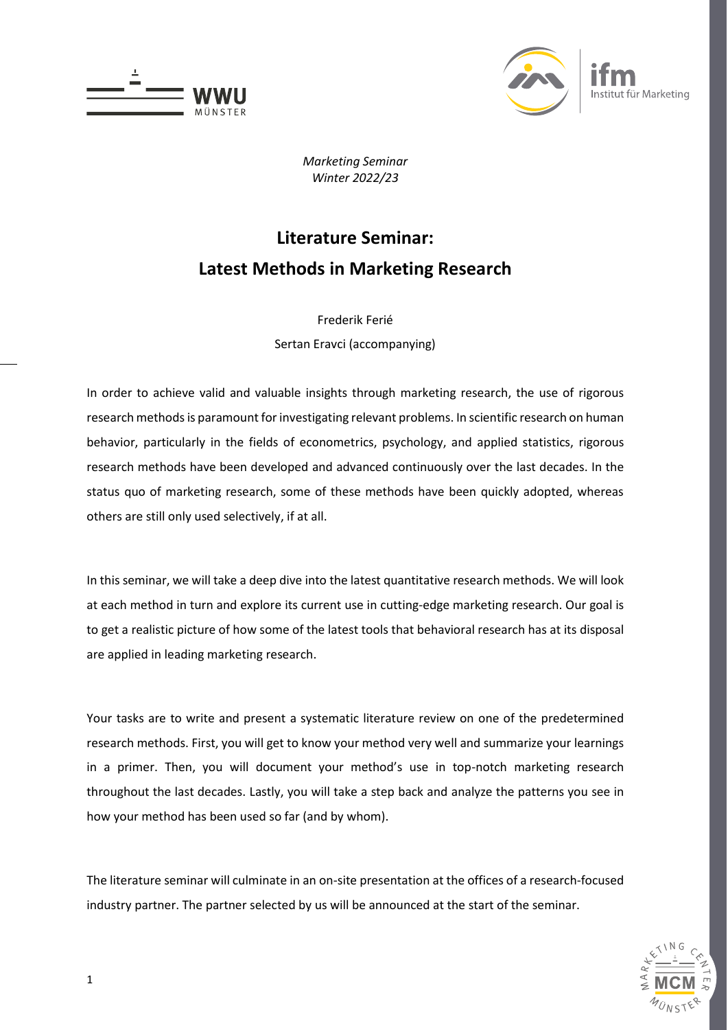



*Marketing Seminar Winter 2022/23*

# **Literature Seminar: Latest Methods in Marketing Research**

Frederik Ferié Sertan Eravci (accompanying)

In order to achieve valid and valuable insights through marketing research, the use of rigorous research methods is paramount for investigating relevant problems. In scientific research on human behavior, particularly in the fields of econometrics, psychology, and applied statistics, rigorous research methods have been developed and advanced continuously over the last decades. In the status quo of marketing research, some of these methods have been quickly adopted, whereas others are still only used selectively, if at all.

In this seminar, we will take a deep dive into the latest quantitative research methods. We will look at each method in turn and explore its current use in cutting-edge marketing research. Our goal is to get a realistic picture of how some of the latest tools that behavioral research has at its disposal are applied in leading marketing research.

Your tasks are to write and present a systematic literature review on one of the predetermined research methods. First, you will get to know your method very well and summarize your learnings in a primer. Then, you will document your method's use in top-notch marketing research throughout the last decades. Lastly, you will take a step back and analyze the patterns you see in how your method has been used so far (and by whom).

The literature seminar will culminate in an on-site presentation at the offices of a research-focused industry partner. The partner selected by us will be announced at the start of the seminar.

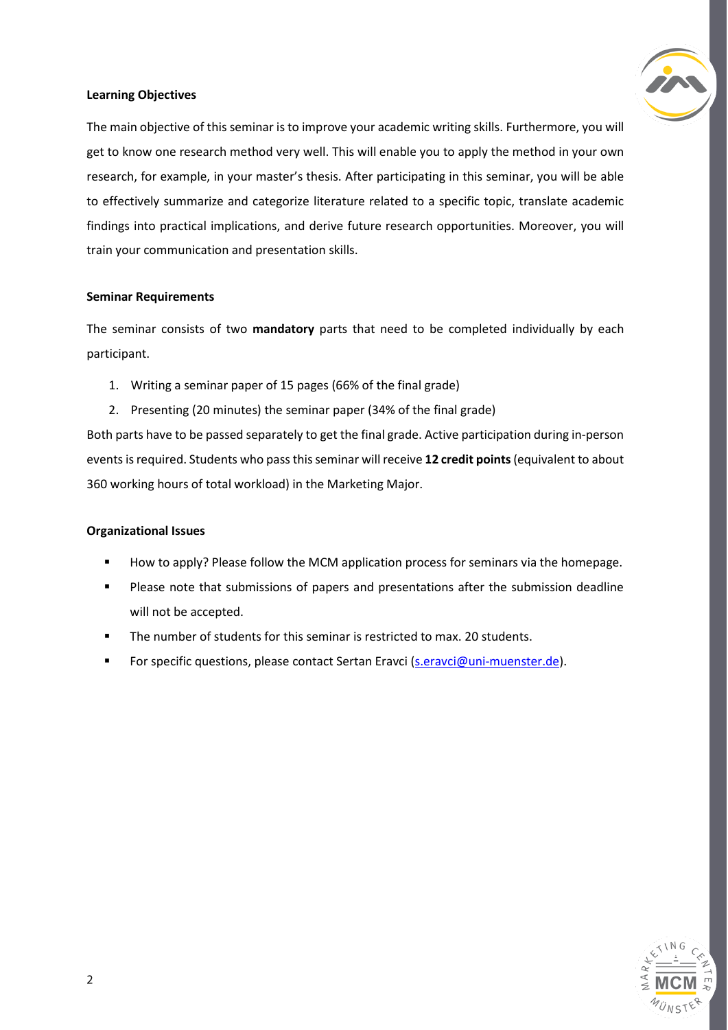### **Learning Objectives**

The main objective of this seminar is to improve your academic writing skills. Furthermore, you will get to know one research method very well. This will enable you to apply the method in your own research, for example, in your master's thesis. After participating in this seminar, you will be able to effectively summarize and categorize literature related to a specific topic, translate academic findings into practical implications, and derive future research opportunities. Moreover, you will train your communication and presentation skills.

### **Seminar Requirements**

The seminar consists of two **mandatory** parts that need to be completed individually by each participant.

- 1. Writing a seminar paper of 15 pages (66% of the final grade)
- 2. Presenting (20 minutes) the seminar paper (34% of the final grade)

Both parts have to be passed separately to get the final grade. Active participation during in-person events is required. Students who pass this seminar will receive **12 credit points**(equivalent to about 360 working hours of total workload) in the Marketing Major.

## **Organizational Issues**

- How to apply? Please follow the MCM application process for seminars via the homepage.
- Please note that submissions of papers and presentations after the submission deadline will not be accepted.
- The number of students for this seminar is restricted to max. 20 students.
- For specific questions, please contact Sertan Eravci [\(s.eravci@uni-muenster.de\)](mailto:s.eravci@uni-muenster.de).